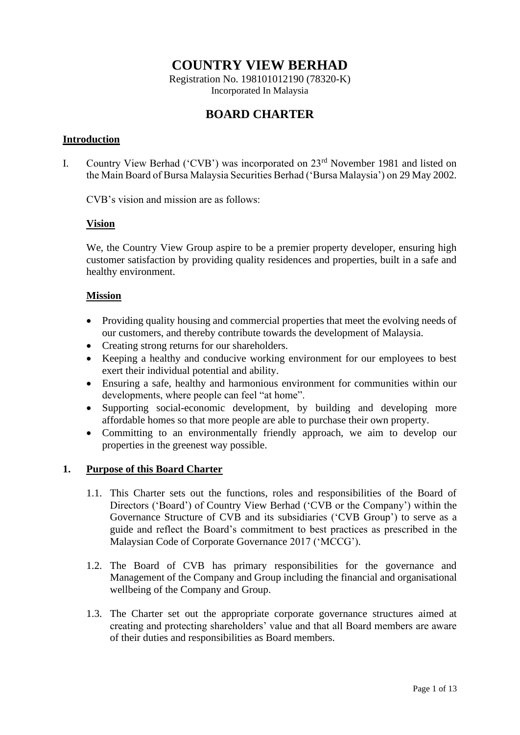# **COUNTRY VIEW BERHAD**

Registration No. 198101012190 (78320-K) Incorporated In Malaysia

# **BOARD CHARTER**

# **Introduction**

I. Country View Berhad ('CVB') was incorporated on 23rd November 1981 and listed on the Main Board of Bursa Malaysia Securities Berhad ('Bursa Malaysia') on 29 May 2002.

CVB's vision and mission are as follows:

# **Vision**

We, the Country View Group aspire to be a premier property developer, ensuring high customer satisfaction by providing quality residences and properties, built in a safe and healthy environment.

# **Mission**

- Providing quality housing and commercial properties that meet the evolving needs of our customers, and thereby contribute towards the development of Malaysia.
- Creating strong returns for our shareholders.
- Keeping a healthy and conducive working environment for our employees to best exert their individual potential and ability.
- Ensuring a safe, healthy and harmonious environment for communities within our developments, where people can feel "at home".
- Supporting social-economic development, by building and developing more affordable homes so that more people are able to purchase their own property.
- Committing to an environmentally friendly approach, we aim to develop our properties in the greenest way possible.

# **1. Purpose of this Board Charter**

- 1.1. This Charter sets out the functions, roles and responsibilities of the Board of Directors ('Board') of Country View Berhad ('CVB or the Company') within the Governance Structure of CVB and its subsidiaries ('CVB Group') to serve as a guide and reflect the Board's commitment to best practices as prescribed in the Malaysian Code of Corporate Governance 2017 ('MCCG').
- 1.2. The Board of CVB has primary responsibilities for the governance and Management of the Company and Group including the financial and organisational wellbeing of the Company and Group.
- 1.3. The Charter set out the appropriate corporate governance structures aimed at creating and protecting shareholders' value and that all Board members are aware of their duties and responsibilities as Board members.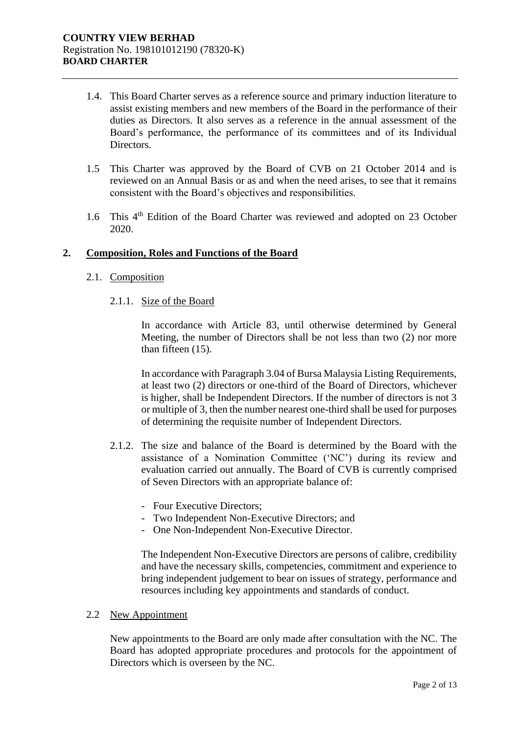- 1.4. This Board Charter serves as a reference source and primary induction literature to assist existing members and new members of the Board in the performance of their duties as Directors. It also serves as a reference in the annual assessment of the Board's performance, the performance of its committees and of its Individual Directors.
- 1.5 This Charter was approved by the Board of CVB on 21 October 2014 and is reviewed on an Annual Basis or as and when the need arises, to see that it remains consistent with the Board's objectives and responsibilities.
- 1.6 This 4<sup>th</sup> Edition of the Board Charter was reviewed and adopted on 23 October 2020.

# **2. Composition, Roles and Functions of the Board**

# 2.1. Composition

2.1.1. Size of the Board

In accordance with Article 83, until otherwise determined by General Meeting, the number of Directors shall be not less than two (2) nor more than fifteen (15).

In accordance with Paragraph 3.04 of Bursa Malaysia Listing Requirements, at least two (2) directors or one-third of the Board of Directors, whichever is higher, shall be Independent Directors. If the number of directors is not 3 or multiple of 3, then the number nearest one-third shall be used for purposes of determining the requisite number of Independent Directors.

- 2.1.2. The size and balance of the Board is determined by the Board with the assistance of a Nomination Committee ('NC') during its review and evaluation carried out annually. The Board of CVB is currently comprised of Seven Directors with an appropriate balance of:
	- Four Executive Directors;
	- Two Independent Non-Executive Directors; and
	- One Non-Independent Non-Executive Director.

The Independent Non-Executive Directors are persons of calibre, credibility and have the necessary skills, competencies, commitment and experience to bring independent judgement to bear on issues of strategy, performance and resources including key appointments and standards of conduct.

#### 2.2 New Appointment

New appointments to the Board are only made after consultation with the NC. The Board has adopted appropriate procedures and protocols for the appointment of Directors which is overseen by the NC.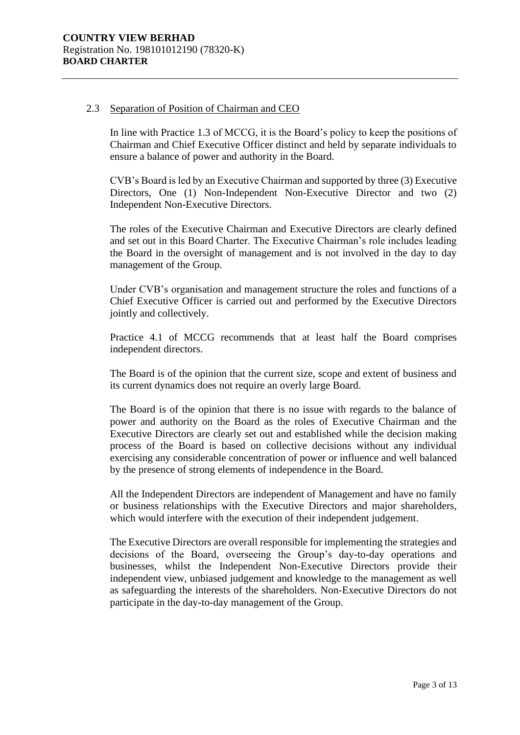# 2.3 Separation of Position of Chairman and CEO

In line with Practice 1.3 of MCCG, it is the Board's policy to keep the positions of Chairman and Chief Executive Officer distinct and held by separate individuals to ensure a balance of power and authority in the Board.

CVB's Board is led by an Executive Chairman and supported by three (3) Executive Directors, One (1) Non-Independent Non-Executive Director and two (2) Independent Non-Executive Directors.

The roles of the Executive Chairman and Executive Directors are clearly defined and set out in this Board Charter. The Executive Chairman's role includes leading the Board in the oversight of management and is not involved in the day to day management of the Group.

Under CVB's organisation and management structure the roles and functions of a Chief Executive Officer is carried out and performed by the Executive Directors jointly and collectively.

Practice 4.1 of MCCG recommends that at least half the Board comprises independent directors.

The Board is of the opinion that the current size, scope and extent of business and its current dynamics does not require an overly large Board.

The Board is of the opinion that there is no issue with regards to the balance of power and authority on the Board as the roles of Executive Chairman and the Executive Directors are clearly set out and established while the decision making process of the Board is based on collective decisions without any individual exercising any considerable concentration of power or influence and well balanced by the presence of strong elements of independence in the Board.

All the Independent Directors are independent of Management and have no family or business relationships with the Executive Directors and major shareholders, which would interfere with the execution of their independent judgement.

The Executive Directors are overall responsible for implementing the strategies and decisions of the Board, overseeing the Group's day-to-day operations and businesses, whilst the Independent Non-Executive Directors provide their independent view, unbiased judgement and knowledge to the management as well as safeguarding the interests of the shareholders. Non-Executive Directors do not participate in the day-to-day management of the Group.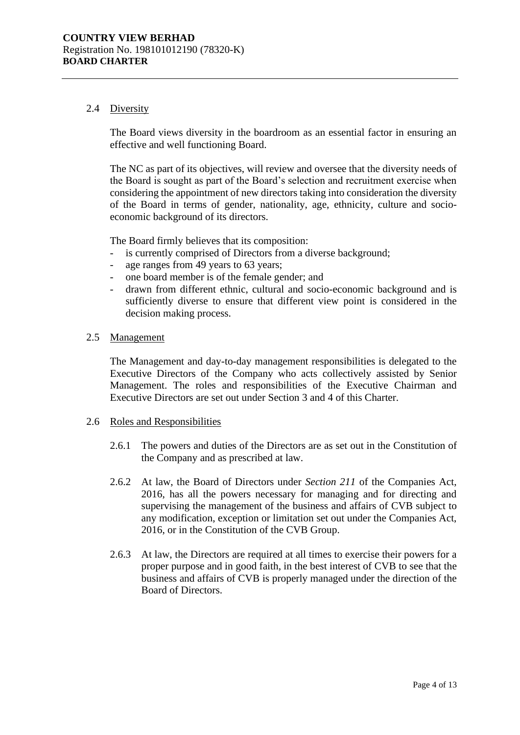# 2.4 Diversity

The Board views diversity in the boardroom as an essential factor in ensuring an effective and well functioning Board.

The NC as part of its objectives, will review and oversee that the diversity needs of the Board is sought as part of the Board's selection and recruitment exercise when considering the appointment of new directors taking into consideration the diversity of the Board in terms of gender, nationality, age, ethnicity, culture and socioeconomic background of its directors.

The Board firmly believes that its composition:

- is currently comprised of Directors from a diverse background;
- age ranges from 49 years to 63 years;
- one board member is of the female gender; and
- drawn from different ethnic, cultural and socio-economic background and is sufficiently diverse to ensure that different view point is considered in the decision making process.

### 2.5 Management

The Management and day-to-day management responsibilities is delegated to the Executive Directors of the Company who acts collectively assisted by Senior Management. The roles and responsibilities of the Executive Chairman and Executive Directors are set out under Section 3 and 4 of this Charter.

#### 2.6 Roles and Responsibilities

- 2.6.1 The powers and duties of the Directors are as set out in the Constitution of the Company and as prescribed at law.
- 2.6.2 At law, the Board of Directors under *Section 211* of the Companies Act, 2016, has all the powers necessary for managing and for directing and supervising the management of the business and affairs of CVB subject to any modification, exception or limitation set out under the Companies Act, 2016, or in the Constitution of the CVB Group.
- 2.6.3 At law, the Directors are required at all times to exercise their powers for a proper purpose and in good faith, in the best interest of CVB to see that the business and affairs of CVB is properly managed under the direction of the Board of Directors.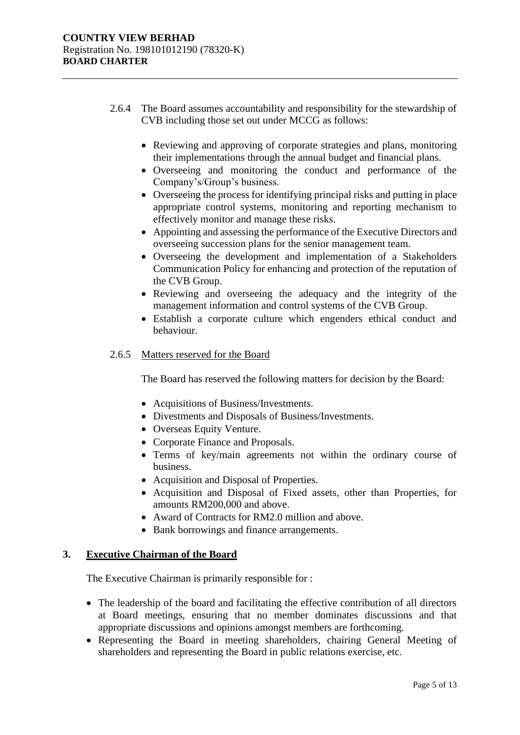- 2.6.4 The Board assumes accountability and responsibility for the stewardship of CVB including those set out under MCCG as follows:
	- Reviewing and approving of corporate strategies and plans, monitoring their implementations through the annual budget and financial plans.
	- Overseeing and monitoring the conduct and performance of the Company's/Group's business.
	- Overseeing the process for identifying principal risks and putting in place appropriate control systems, monitoring and reporting mechanism to effectively monitor and manage these risks.
	- Appointing and assessing the performance of the Executive Directors and overseeing succession plans for the senior management team.
	- Overseeing the development and implementation of a Stakeholders Communication Policy for enhancing and protection of the reputation of the CVB Group.
	- Reviewing and overseeing the adequacy and the integrity of the management information and control systems of the CVB Group.
	- Establish a corporate culture which engenders ethical conduct and behaviour.

# 2.6.5 Matters reserved for the Board

The Board has reserved the following matters for decision by the Board:

- Acquisitions of Business/Investments.
- Divestments and Disposals of Business/Investments.
- Overseas Equity Venture.
- Corporate Finance and Proposals.
- Terms of key/main agreements not within the ordinary course of business.
- Acquisition and Disposal of Properties.
- Acquisition and Disposal of Fixed assets, other than Properties, for amounts RM200,000 and above.
- Award of Contracts for RM2.0 million and above.
- Bank borrowings and finance arrangements.

# **3. Executive Chairman of the Board**

The Executive Chairman is primarily responsible for :

- The leadership of the board and facilitating the effective contribution of all directors at Board meetings, ensuring that no member dominates discussions and that appropriate discussions and opinions amongst members are forthcoming.
- Representing the Board in meeting shareholders, chairing General Meeting of shareholders and representing the Board in public relations exercise, etc.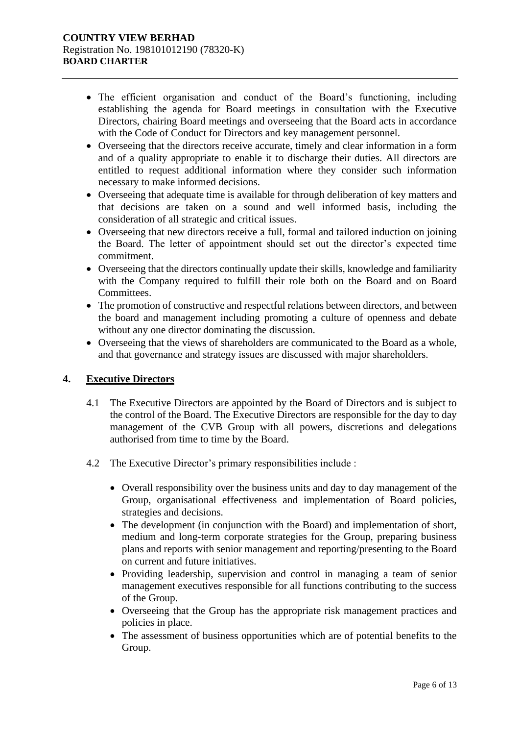- The efficient organisation and conduct of the Board's functioning, including establishing the agenda for Board meetings in consultation with the Executive Directors, chairing Board meetings and overseeing that the Board acts in accordance with the Code of Conduct for Directors and key management personnel.
- Overseeing that the directors receive accurate, timely and clear information in a form and of a quality appropriate to enable it to discharge their duties. All directors are entitled to request additional information where they consider such information necessary to make informed decisions.
- Overseeing that adequate time is available for through deliberation of key matters and that decisions are taken on a sound and well informed basis, including the consideration of all strategic and critical issues.
- Overseeing that new directors receive a full, formal and tailored induction on joining the Board. The letter of appointment should set out the director's expected time commitment.
- Overseeing that the directors continually update their skills, knowledge and familiarity with the Company required to fulfill their role both on the Board and on Board Committees.
- The promotion of constructive and respectful relations between directors, and between the board and management including promoting a culture of openness and debate without any one director dominating the discussion.
- Overseeing that the views of shareholders are communicated to the Board as a whole, and that governance and strategy issues are discussed with major shareholders.

# **4. Executive Directors**

- 4.1 The Executive Directors are appointed by the Board of Directors and is subject to the control of the Board. The Executive Directors are responsible for the day to day management of the CVB Group with all powers, discretions and delegations authorised from time to time by the Board.
- 4.2 The Executive Director's primary responsibilities include :
	- Overall responsibility over the business units and day to day management of the Group, organisational effectiveness and implementation of Board policies, strategies and decisions.
	- The development (in conjunction with the Board) and implementation of short, medium and long-term corporate strategies for the Group, preparing business plans and reports with senior management and reporting/presenting to the Board on current and future initiatives.
	- Providing leadership, supervision and control in managing a team of senior management executives responsible for all functions contributing to the success of the Group.
	- Overseeing that the Group has the appropriate risk management practices and policies in place.
	- The assessment of business opportunities which are of potential benefits to the Group.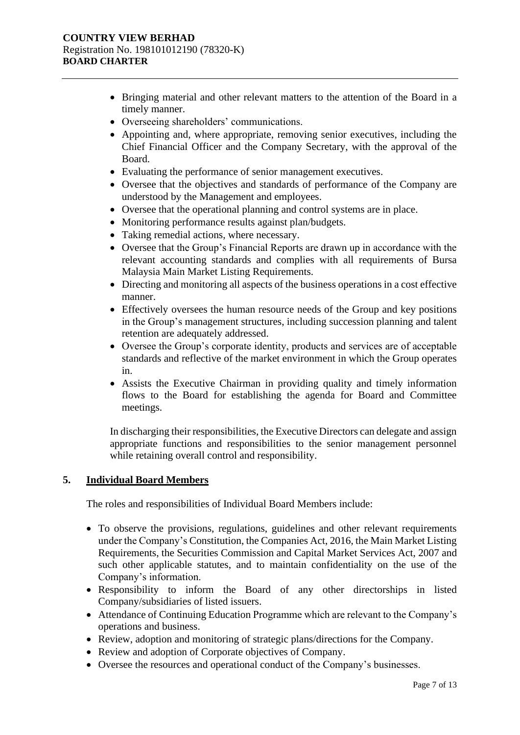- Bringing material and other relevant matters to the attention of the Board in a timely manner.
- Overseeing shareholders' communications.
- Appointing and, where appropriate, removing senior executives, including the Chief Financial Officer and the Company Secretary, with the approval of the Board.
- Evaluating the performance of senior management executives.
- Oversee that the objectives and standards of performance of the Company are understood by the Management and employees.
- Oversee that the operational planning and control systems are in place.
- Monitoring performance results against plan/budgets.
- Taking remedial actions, where necessary.
- Oversee that the Group's Financial Reports are drawn up in accordance with the relevant accounting standards and complies with all requirements of Bursa Malaysia Main Market Listing Requirements.
- Directing and monitoring all aspects of the business operations in a cost effective manner.
- Effectively oversees the human resource needs of the Group and key positions in the Group's management structures, including succession planning and talent retention are adequately addressed.
- Oversee the Group's corporate identity, products and services are of acceptable standards and reflective of the market environment in which the Group operates in.
- Assists the Executive Chairman in providing quality and timely information flows to the Board for establishing the agenda for Board and Committee meetings.

In discharging their responsibilities, the Executive Directors can delegate and assign appropriate functions and responsibilities to the senior management personnel while retaining overall control and responsibility.

# **5. Individual Board Members**

The roles and responsibilities of Individual Board Members include:

- To observe the provisions, regulations, guidelines and other relevant requirements under the Company's Constitution, the Companies Act, 2016, the Main Market Listing Requirements, the Securities Commission and Capital Market Services Act, 2007 and such other applicable statutes, and to maintain confidentiality on the use of the Company's information.
- Responsibility to inform the Board of any other directorships in listed Company/subsidiaries of listed issuers.
- Attendance of Continuing Education Programme which are relevant to the Company's operations and business.
- Review, adoption and monitoring of strategic plans/directions for the Company.
- Review and adoption of Corporate objectives of Company.
- Oversee the resources and operational conduct of the Company's businesses.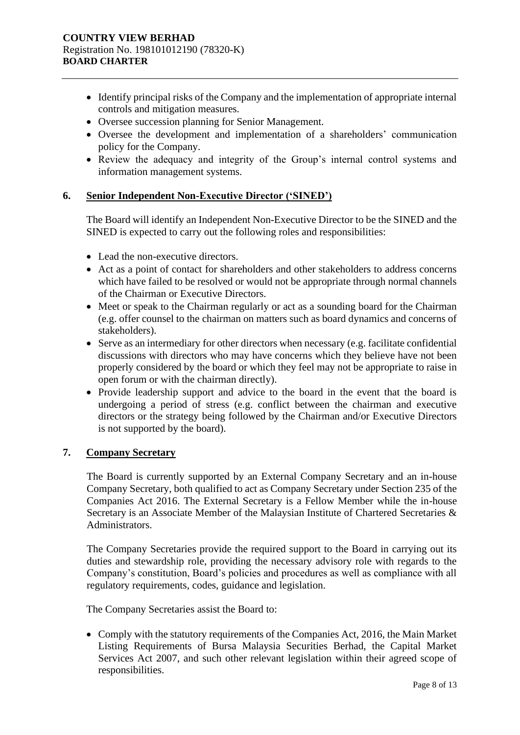- Identify principal risks of the Company and the implementation of appropriate internal controls and mitigation measures.
- Oversee succession planning for Senior Management.
- Oversee the development and implementation of a shareholders' communication policy for the Company.
- Review the adequacy and integrity of the Group's internal control systems and information management systems.

# **6. Senior Independent Non-Executive Director ('SINED')**

The Board will identify an Independent Non-Executive Director to be the SINED and the SINED is expected to carry out the following roles and responsibilities:

- Lead the non-executive directors.
- Act as a point of contact for shareholders and other stakeholders to address concerns which have failed to be resolved or would not be appropriate through normal channels of the Chairman or Executive Directors.
- Meet or speak to the Chairman regularly or act as a sounding board for the Chairman (e.g. offer counsel to the chairman on matters such as board dynamics and concerns of stakeholders).
- Serve as an intermediary for other directors when necessary (e.g. facilitate confidential discussions with directors who may have concerns which they believe have not been properly considered by the board or which they feel may not be appropriate to raise in open forum or with the chairman directly).
- Provide leadership support and advice to the board in the event that the board is undergoing a period of stress (e.g. conflict between the chairman and executive directors or the strategy being followed by the Chairman and/or Executive Directors is not supported by the board).

# **7. Company Secretary**

The Board is currently supported by an External Company Secretary and an in-house Company Secretary, both qualified to act as Company Secretary under Section 235 of the Companies Act 2016. The External Secretary is a Fellow Member while the in-house Secretary is an Associate Member of the Malaysian Institute of Chartered Secretaries & Administrators.

The Company Secretaries provide the required support to the Board in carrying out its duties and stewardship role, providing the necessary advisory role with regards to the Company's constitution, Board's policies and procedures as well as compliance with all regulatory requirements, codes, guidance and legislation.

The Company Secretaries assist the Board to:

• Comply with the statutory requirements of the Companies Act, 2016, the Main Market Listing Requirements of Bursa Malaysia Securities Berhad, the Capital Market Services Act 2007, and such other relevant legislation within their agreed scope of responsibilities.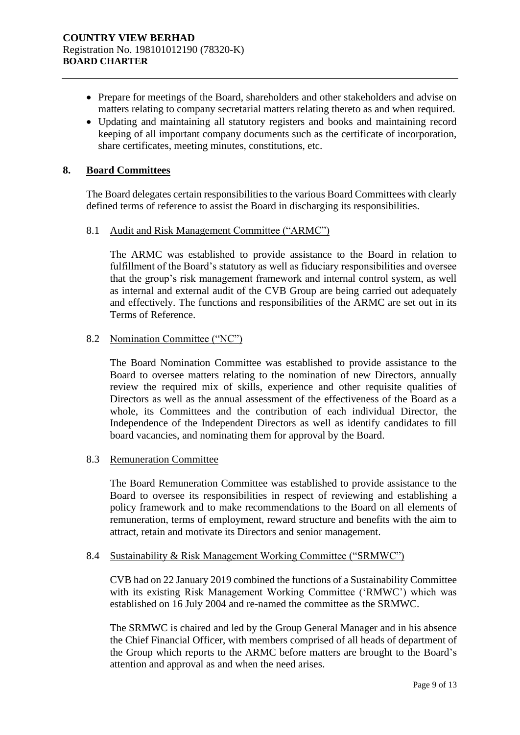- Prepare for meetings of the Board, shareholders and other stakeholders and advise on matters relating to company secretarial matters relating thereto as and when required.
- Updating and maintaining all statutory registers and books and maintaining record keeping of all important company documents such as the certificate of incorporation, share certificates, meeting minutes, constitutions, etc.

### **8. Board Committees**

The Board delegates certain responsibilities to the various Board Committees with clearly defined terms of reference to assist the Board in discharging its responsibilities.

### 8.1 Audit and Risk Management Committee ("ARMC")

The ARMC was established to provide assistance to the Board in relation to fulfillment of the Board's statutory as well as fiduciary responsibilities and oversee that the group's risk management framework and internal control system, as well as internal and external audit of the CVB Group are being carried out adequately and effectively. The functions and responsibilities of the ARMC are set out in its Terms of Reference.

### 8.2 Nomination Committee ("NC")

The Board Nomination Committee was established to provide assistance to the Board to oversee matters relating to the nomination of new Directors, annually review the required mix of skills, experience and other requisite qualities of Directors as well as the annual assessment of the effectiveness of the Board as a whole, its Committees and the contribution of each individual Director, the Independence of the Independent Directors as well as identify candidates to fill board vacancies, and nominating them for approval by the Board.

#### 8.3 Remuneration Committee

The Board Remuneration Committee was established to provide assistance to the Board to oversee its responsibilities in respect of reviewing and establishing a policy framework and to make recommendations to the Board on all elements of remuneration, terms of employment, reward structure and benefits with the aim to attract, retain and motivate its Directors and senior management.

#### 8.4 Sustainability & Risk Management Working Committee ("SRMWC")

CVB had on 22 January 2019 combined the functions of a Sustainability Committee with its existing Risk Management Working Committee ('RMWC') which was established on 16 July 2004 and re-named the committee as the SRMWC.

The SRMWC is chaired and led by the Group General Manager and in his absence the Chief Financial Officer, with members comprised of all heads of department of the Group which reports to the ARMC before matters are brought to the Board's attention and approval as and when the need arises.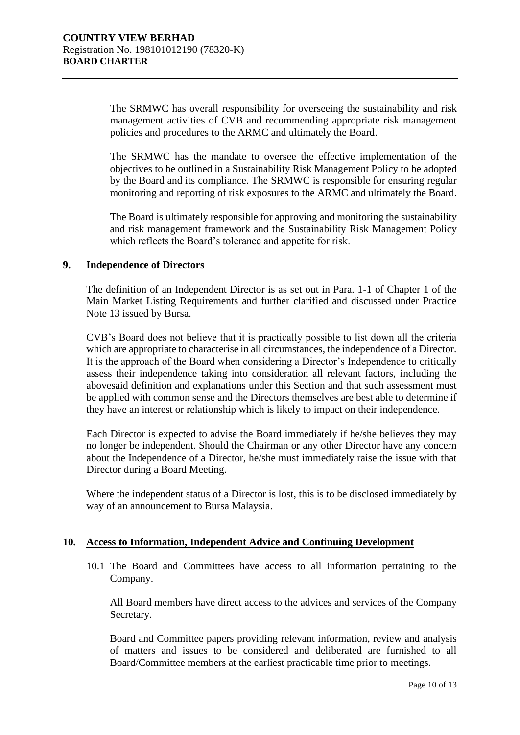The SRMWC has overall responsibility for overseeing the sustainability and risk management activities of CVB and recommending appropriate risk management policies and procedures to the ARMC and ultimately the Board.

The SRMWC has the mandate to oversee the effective implementation of the objectives to be outlined in a Sustainability Risk Management Policy to be adopted by the Board and its compliance. The SRMWC is responsible for ensuring regular monitoring and reporting of risk exposures to the ARMC and ultimately the Board.

The Board is ultimately responsible for approving and monitoring the sustainability and risk management framework and the Sustainability Risk Management Policy which reflects the Board's tolerance and appetite for risk.

### **9. Independence of Directors**

The definition of an Independent Director is as set out in Para. 1-1 of Chapter 1 of the Main Market Listing Requirements and further clarified and discussed under Practice Note 13 issued by Bursa.

CVB's Board does not believe that it is practically possible to list down all the criteria which are appropriate to characterise in all circumstances, the independence of a Director. It is the approach of the Board when considering a Director's Independence to critically assess their independence taking into consideration all relevant factors, including the abovesaid definition and explanations under this Section and that such assessment must be applied with common sense and the Directors themselves are best able to determine if they have an interest or relationship which is likely to impact on their independence.

Each Director is expected to advise the Board immediately if he/she believes they may no longer be independent. Should the Chairman or any other Director have any concern about the Independence of a Director, he/she must immediately raise the issue with that Director during a Board Meeting.

Where the independent status of a Director is lost, this is to be disclosed immediately by way of an announcement to Bursa Malaysia.

### **10. Access to Information, Independent Advice and Continuing Development**

10.1 The Board and Committees have access to all information pertaining to the Company.

All Board members have direct access to the advices and services of the Company Secretary.

Board and Committee papers providing relevant information, review and analysis of matters and issues to be considered and deliberated are furnished to all Board/Committee members at the earliest practicable time prior to meetings.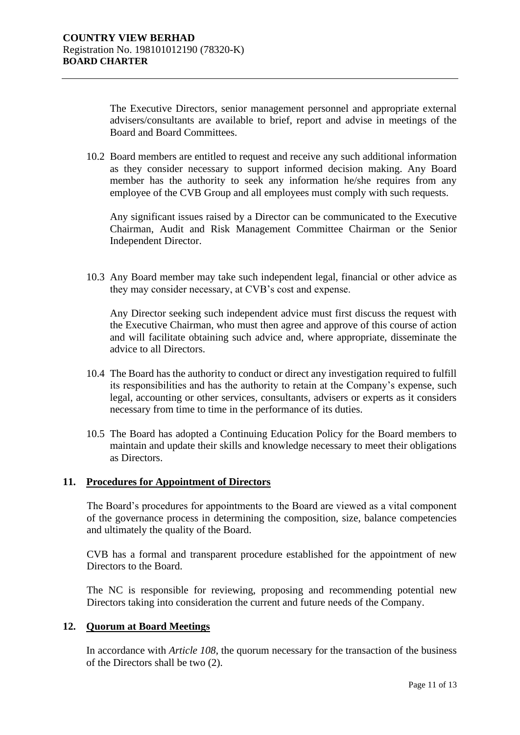The Executive Directors, senior management personnel and appropriate external advisers/consultants are available to brief, report and advise in meetings of the Board and Board Committees.

10.2 Board members are entitled to request and receive any such additional information as they consider necessary to support informed decision making. Any Board member has the authority to seek any information he/she requires from any employee of the CVB Group and all employees must comply with such requests.

Any significant issues raised by a Director can be communicated to the Executive Chairman, Audit and Risk Management Committee Chairman or the Senior Independent Director.

10.3 Any Board member may take such independent legal, financial or other advice as they may consider necessary, at CVB's cost and expense.

Any Director seeking such independent advice must first discuss the request with the Executive Chairman, who must then agree and approve of this course of action and will facilitate obtaining such advice and, where appropriate, disseminate the advice to all Directors.

- 10.4 The Board has the authority to conduct or direct any investigation required to fulfill its responsibilities and has the authority to retain at the Company's expense, such legal, accounting or other services, consultants, advisers or experts as it considers necessary from time to time in the performance of its duties.
- 10.5 The Board has adopted a Continuing Education Policy for the Board members to maintain and update their skills and knowledge necessary to meet their obligations as Directors.

# **11. Procedures for Appointment of Directors**

The Board's procedures for appointments to the Board are viewed as a vital component of the governance process in determining the composition, size, balance competencies and ultimately the quality of the Board.

CVB has a formal and transparent procedure established for the appointment of new Directors to the Board.

The NC is responsible for reviewing, proposing and recommending potential new Directors taking into consideration the current and future needs of the Company.

### **12. Quorum at Board Meetings**

In accordance with *Article 108*, the quorum necessary for the transaction of the business of the Directors shall be two (2).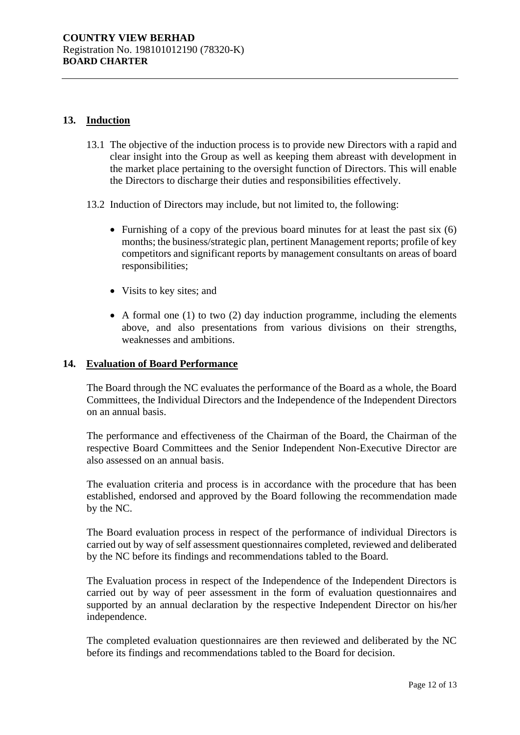# **13. Induction**

- 13.1 The objective of the induction process is to provide new Directors with a rapid and clear insight into the Group as well as keeping them abreast with development in the market place pertaining to the oversight function of Directors. This will enable the Directors to discharge their duties and responsibilities effectively.
- 13.2 Induction of Directors may include, but not limited to, the following:
	- Furnishing of a copy of the previous board minutes for at least the past six (6) months; the business/strategic plan, pertinent Management reports; profile of key competitors and significant reports by management consultants on areas of board responsibilities;
	- Visits to key sites; and
	- A formal one (1) to two (2) day induction programme, including the elements above, and also presentations from various divisions on their strengths, weaknesses and ambitions.

# **14. Evaluation of Board Performance**

The Board through the NC evaluates the performance of the Board as a whole, the Board Committees, the Individual Directors and the Independence of the Independent Directors on an annual basis.

The performance and effectiveness of the Chairman of the Board, the Chairman of the respective Board Committees and the Senior Independent Non-Executive Director are also assessed on an annual basis.

The evaluation criteria and process is in accordance with the procedure that has been established, endorsed and approved by the Board following the recommendation made by the NC.

The Board evaluation process in respect of the performance of individual Directors is carried out by way of self assessment questionnaires completed, reviewed and deliberated by the NC before its findings and recommendations tabled to the Board.

The Evaluation process in respect of the Independence of the Independent Directors is carried out by way of peer assessment in the form of evaluation questionnaires and supported by an annual declaration by the respective Independent Director on his/her independence.

The completed evaluation questionnaires are then reviewed and deliberated by the NC before its findings and recommendations tabled to the Board for decision.